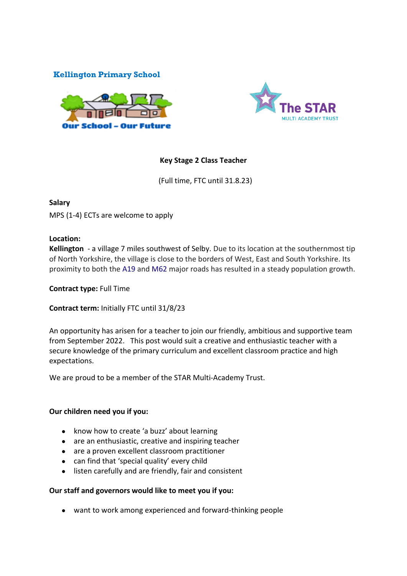# **Kellington Primary School**





## **Key Stage 2 Class Teacher**

(Full time, FTC until 31.8.23)

## **Salary**

MPS (1-4) ECTs are welcome to apply

## **Location:**

**Kellington** - a village 7 miles southwest of Selby. Due to its location at the southernmost tip of North Yorkshire, the village is close to the borders of West, East and South Yorkshire. Its proximity to both the [A19](https://en.wikipedia.org/wiki/A19_road) and [M62](https://en.wikipedia.org/wiki/M62_motorway) major roads has resulted in a steady population growth.

**Contract type:** Full Time

**Contract term:** Initially FTC until 31/8/23

An opportunity has arisen for a teacher to join our friendly, ambitious and supportive team from September 2022. This post would suit a creative and enthusiastic teacher with a secure knowledge of the primary curriculum and excellent classroom practice and high expectations.

We are proud to be a member of the STAR Multi-Academy Trust.

### **Our children need you if you:**

- know how to create 'a buzz' about learning
- are an enthusiastic, creative and inspiring teacher
- are a proven excellent classroom practitioner
- can find that 'special quality' every child
- listen carefully and are friendly, fair and consistent

### **Our staff and governors would like to meet you if you:**

● want to work among experienced and forward-thinking people